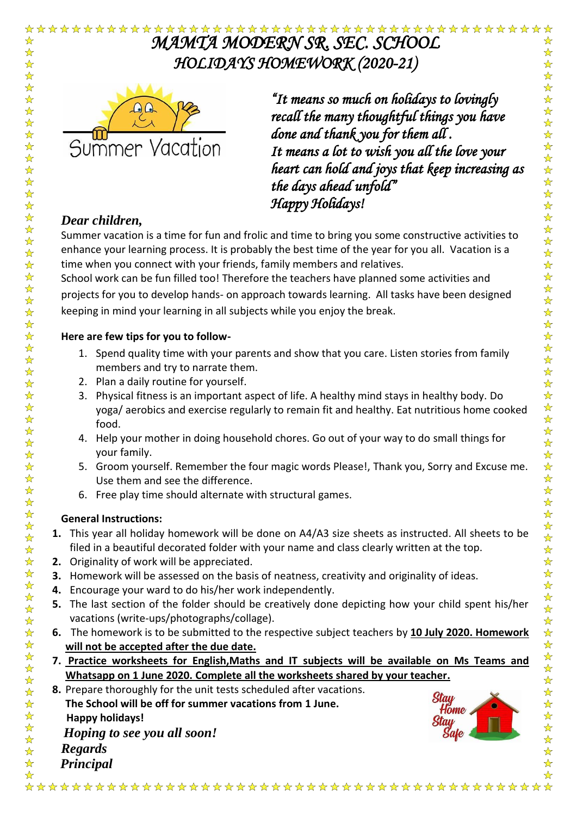#### *MAMTA MODERN SR. SEC. SCHOOL*  ☆  $\frac{1}{\sqrt{2}}$ *HOLIDAYS HOMEWORK (2020-21)*   $\frac{1}{\sqrt{2}}$  $\frac{1}{\sqrt{2}}$



*"It means so much on holidays to lovingly recall the many thoughtful things you have done and thank you for them all . It means a lot to wish you all the love your heart can hold and joys that keep increasing as the days ahead unfold" Happy Holidays!* 

# *Dear children,*

 $\frac{1}{\sqrt{2}}$ 

 $\frac{1}{\sqrt{2}}$ 

☆☆☆☆☆☆☆☆☆☆☆☆

2222年

 $\frac{1}{\lambda}$ 55年

琴琴琴琴

 $\frac{1}{2}$ 

公众公众公众

☆☆☆☆☆☆☆☆☆☆☆☆

Summer vacation is a time for fun and frolic and time to bring you some constructive activities to enhance your learning process. It is probably the best time of the year for you all. Vacation is a time when you connect with your friends, family members and relatives.

School work can be fun filled too! Therefore the teachers have planned some activities and projects for you to develop hands- on approach towards learning. All tasks have been designed keeping in mind your learning in all subjects while you enjoy the break.

# **Here are few tips for you to follow-**

- 1. Spend quality time with your parents and show that you care. Listen stories from family members and try to narrate them.
- 2. Plan a daily routine for yourself.
- 3. Physical fitness is an important aspect of life. A healthy mind stays in healthy body. Do yoga/ aerobics and exercise regularly to remain fit and healthy. Eat nutritious home cooked food.
- 4. Help your mother in doing household chores. Go out of your way to do small things for your family.
- 5. Groom yourself. Remember the four magic words Please!, Thank you, Sorry and Excuse me. Use them and see the difference.
- 6. Free play time should alternate with structural games.

# **General Instructions:**

- **1.** This year all holiday homework will be done on A4/A3 size sheets as instructed. All sheets to be filed in a beautiful decorated folder with your name and class clearly written at the top.
- **2.** Originality of work will be appreciated.
- **3.** Homework will be assessed on the basis of neatness, creativity and originality of ideas.
- **4.** Encourage your ward to do his/her work independently.
- **5.** The last section of the folder should be creatively done depicting how your child spent his/her vacations (write-ups/photographs/collage).
- **6.** The homework is to be submitted to the respective subject teachers by **10 July 2020. Homework will not be accepted after the due date.**
- **7. Practice worksheets for English,Maths and IT subjects will be available on Ms Teams and Whatsapp on 1 June 2020. Complete all the worksheets shared by your teacher.**
- **8.** Prepare thoroughly for the unit tests scheduled after vacations.
- **The School will be off for summer vacations from 1 June.**
- **Happy holidays!**
- ☆☆☆☆☆☆☆☆☆☆☆☆☆ *Hoping to see you all soon!* 
	- *Regards*
- $\frac{1}{\mathbf{k}}$ *Principal* $\frac{1}{\sqrt{2}}$



❖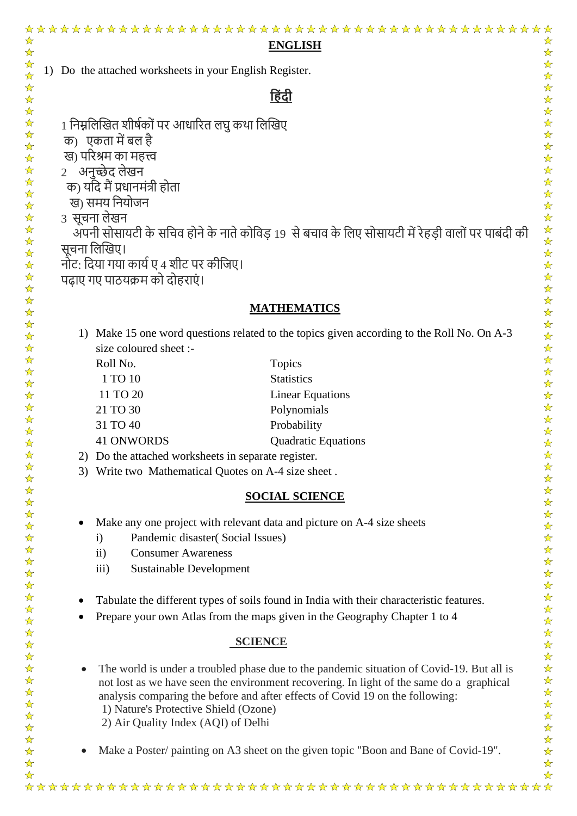1) Do the attached worksheets in your English Register.

# **ह िंदी**

- 1 निम्नलिखित शीर्षकों पर आधारित लघु कथा लिखिए
- क) एकता में बल है
- ि) पररश्रम का महत्त्व
- 2 अनुच्छेद लेखन
- क) यदि मैं प्रधानमंत्री होता
- ख) समय नियोजन
- 3) सूचना लेखन

 $\frac{1}{\sqrt{2}}$ 

 $\frac{1}{\sqrt{2}}$  $\frac{1}{\sqrt{2}}$ 

 $\frac{1}{\sqrt{2}}$ 

古文文文文文

22222公众

2222年

☆☆☆☆☆☆☆☆☆☆☆☆☆☆☆☆☆☆☆☆☆☆☆☆☆☆☆☆☆☆

☆☆☆☆☆☆☆☆☆☆☆☆

 $\frac{1}{\sqrt{2}}$ 

 $\frac{1}{\sqrt{2}}$ 

- अपनी सोसायटी के सचिव होने के नाते कोविड़ 19) से बचाव के लिए सोसायटी में रेहड़ी वालों पर पाबंदी की सचना लिखिए।
- नोट: दिया गया कार्य ए 4 शीट पर कीजिए।
- पढाए गए पाठयक्रम को दोहराएं।

# **MATHEMATICS**

- 1) Make 15 one word questions related to the topics given according to the Roll No. On A-3 size coloured sheet :-
	- Roll No. Topics 1 TO 10 Statistics 11 TO 20 Linear Equations 21 TO 30 Polynomials 31 TO 40 Probability 41 ONWORDS Quadratic Equations
- 2) Do the attached worksheets in separate register.
- 3) Write two Mathematical Quotes on A-4 size sheet .

# **SOCIAL SCIENCE**

- Make any one project with relevant data and picture on A-4 size sheets
	- i) Pandemic disaster( Social Issues)
	- ii) Consumer Awareness
	- iii) Sustainable Development
- Tabulate the different types of soils found in India with their characteristic features.
- Prepare your own Atlas from the maps given in the Geography Chapter 1 to 4

# **SCIENCE**

- The world is under a troubled phase due to the pandemic situation of Covid-19. But all is not lost as we have seen the environment recovering. In light of the same do a graphical analysis comparing the before and after effects of Covid 19 on the following: 1) Nature's Protective Shield (Ozone)
	- 2) Air Quality Index (AQI) of Delhi
- Make a Poster/ painting on A3 sheet on the given topic "Boon and Bane of Covid-19".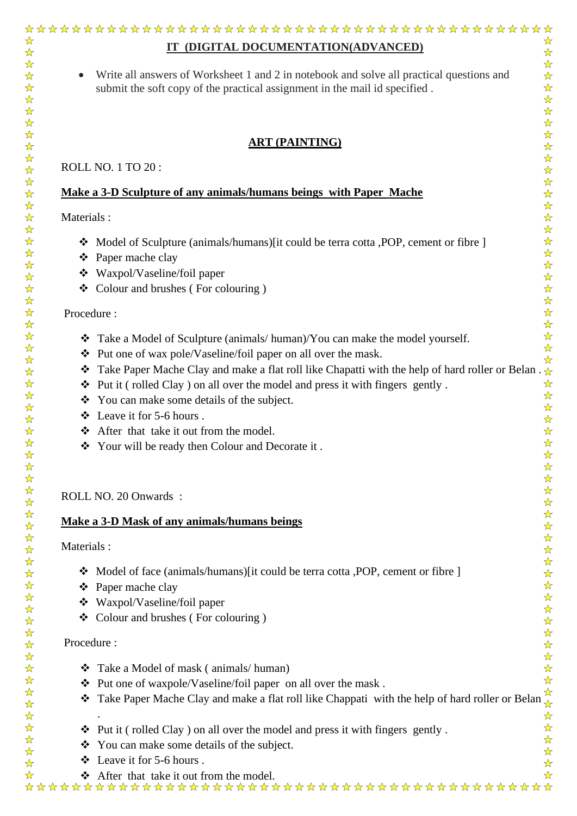• Write all answers of Worksheet 1 and 2 in notebook and solve all practical questions and submit the soft copy of the practical assignment in the mail id specified .

### **ART (PAINTING)**

ROLL NO. 1 TO 20 :

## **Make a 3-D Sculpture of any animals/humans beings with Paper Mache**

Materials :

 $\frac{1}{\sqrt{2}}$ 

 $\frac{1}{\mathcal{N}}$  $\frac{1}{\sqrt{2}}$ 

 $\frac{1}{\sqrt{2}}$  $\frac{1}{\sqrt{2}}$ 

 $\frac{1}{2}$ 

☆☆☆☆☆☆☆☆☆

 $\frac{1}{\mathcal{N}}$  $\frac{1}{\sqrt{2}}$  $\frac{1}{\sqrt{2}}$  $\frac{\lambda}{\lambda}$ 

 $\frac{1}{\sqrt{2}}$  $\frac{1}{\sqrt{2}}$  $\frac{1}{\sqrt{2}}$  $\frac{1}{\sqrt{2}}$  $\frac{1}{\sqrt{2}}$ 24 24  $\frac{1}{\sqrt{2}}$ 55 55 2

琴琴琴

 $\frac{1}{\sqrt{2}}$ 

 $\frac{1}{\sqrt{2}}$ 

 $\frac{1}{\sqrt{2}}$ 

2222222

 $\frac{1}{\sqrt{2}}$ 

 $\frac{1}{2}$  $\frac{1}{\sqrt{2}}$  $\frac{1}{\sqrt{2}}$  $\frac{1}{2}$  $\frac{1}{\sqrt{2}}$ 

 $\frac{1}{\lambda}$  $\frac{\lambda}{\lambda}$  $\frac{1}{\sqrt{2}}$  $\frac{1}{\sqrt{2}}$  $\frac{1}{\mathcal{N}}$  $\frac{1}{\sqrt{2}}$  $\frac{1}{\sqrt{2}}$  $\frac{1}{\mathcal{N}}$ 24年

 $\frac{1}{\mathcal{N}}$ 

 $\frac{1}{\sqrt{2}}$  $\frac{1}{\sqrt{2}}$  $\frac{1}{\sqrt{2}}$ 

 $\frac{1}{\sqrt{2}}$ 

- ❖ Model of Sculpture (animals/humans)[it could be terra cotta ,POP, cement or fibre ]
- ❖ Paper mache clay
- ❖ Waxpol/Vaseline/foil paper
- ❖ Colour and brushes ( For colouring )

#### Procedure :

- ❖ Take a Model of Sculpture (animals/ human)/You can make the model yourself.
- ❖ Put one of wax pole/Vaseline/foil paper on all over the mask.
- <p>•• Put one of wax pole/vaseline/foil paper on all over the mask.</p>\n<p>•• Take Paper Mache Clay and make a flat roll like Chapatti with the help of hard roller or Belan . □</p>\n<p>•• Put it ( rolled Clay) on all over the model and press it with fingers gently.</p>\n<p>•• You can make some details of the subject</p>
- ❖ Put it ( rolled Clay ) on all over the model and press it with fingers gently .
- ❖ You can make some details of the subject.
- ❖ Leave it for 5-6 hours .
- ❖ After that take it out from the model.
- ❖ Your will be ready then Colour and Decorate it .

#### ROLL NO. 20 Onwards :

#### **Make a 3-D Mask of any animals/humans beings**

Materials :

- ❖ Model of face (animals/humans)[it could be terra cotta ,POP, cement or fibre ]
- ❖ Paper mache clay
- ❖ Waxpol/Vaseline/foil paper
- ❖ Colour and brushes ( For colouring )

#### Procedure :

.

- ❖ Take a Model of mask ( animals/ human)
- ❖ Put one of waxpole/Vaseline/foil paper on all over the mask .
- Fut one or waxpore vaseme from paper on an over the mask.<br>• Take Paper Mache Clay and make a flat roll like Chappati with the help of hard roller or Belan
- ❖ Put it ( rolled Clay ) on all over the model and press it with fingers gently .
- ❖ You can make some details of the subject.
- ❖ Leave it for 5-6 hours .
-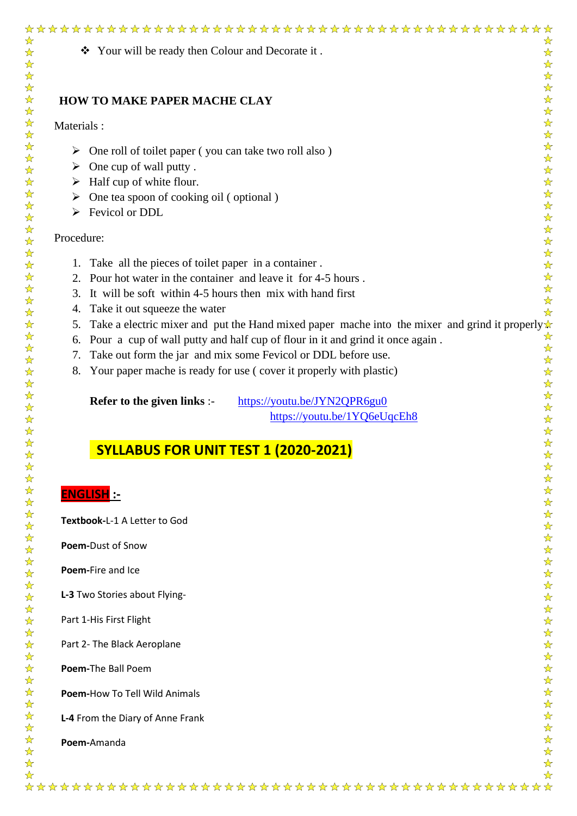